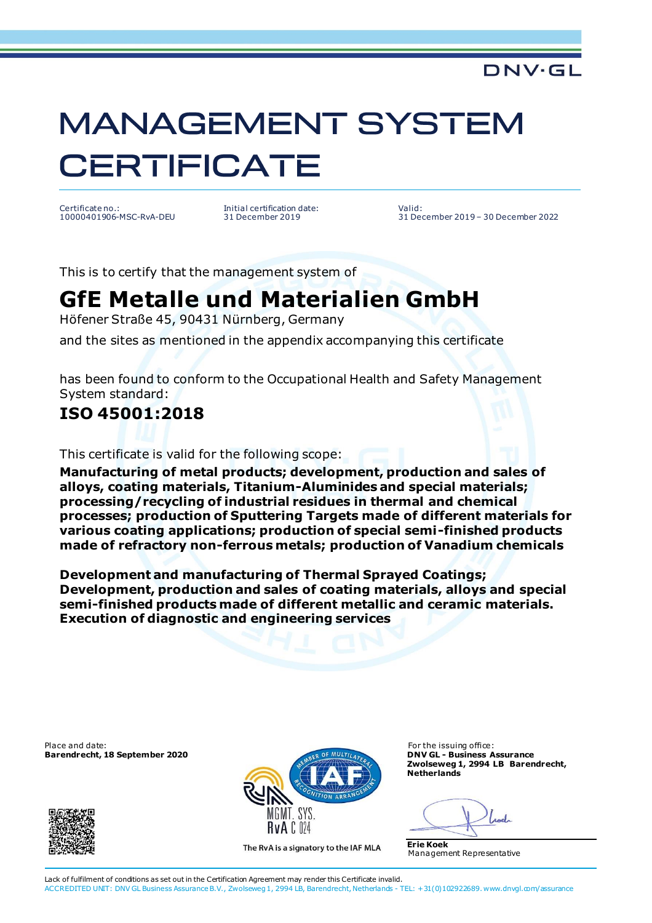### DNV·GL

# **MANAGEMENT SYSTEM CERTIFICATE**

Certificate no.: 10000401906-MSC-RvA-DEU Initial certification date: 31 December 2019

Valid: 31 December 2019 – 30 December 2022

This is to certify that the management system of

## **GfE Metalle und Materialien GmbH**

Höfener Straße 45, 90431 Nürnberg, Germany

and the sites as mentioned in the appendix accompanying this certificate

has been found to conform to the Occupational Health and Safety Management System standard:

#### **ISO 45001:2018**

This certificate is valid for the following scope:

**Manufacturing of metal products; development, production and sales of alloys, coating materials, Titanium-Aluminides and special materials; processing/recycling of industrial residues in thermal and chemical processes; production of Sputtering Targets made of different materials for various coating applications; production of special semi-finished products made of refractory non-ferrous metals; production of Vanadium chemicals**

**Development and manufacturing of Thermal Sprayed Coatings; Development, production and sales of coating materials, alloys and special semi-finished products made of different metallic and ceramic materials. Execution of diagnostic and engineering services**

Place and date: For the issuing office:<br> **Barendrecht, 18 September 2020 Exercía de la Constantino de la Constantino de la Constantino de la Constantino de la Constantino de la Constantino de la Constantino de la Constan Barendrecht, 18 September 2020** 





The RvA is a signatory to the IAF MLA

**Zwolseweg 1, 2994 LB Barendrecht, Netherlands**

**Erie Koek** Management Representative

Lack of fulfilment of conditions as set out in the Certification Agreement may render this Certificate invalid. ACCREDITED UNIT: DNV GL Business Assurance B.V., Zwolseweg 1, 2994 LB, Barendrecht, Netherlands - TEL: +31(0)102922689. www.dnvgl.com/assurance